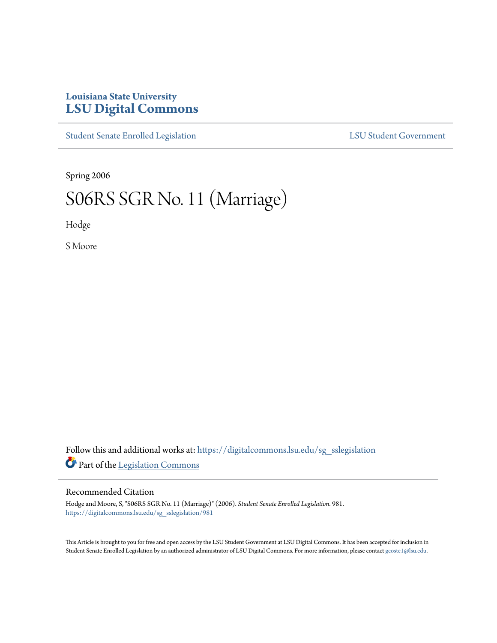# **Louisiana State University [LSU Digital Commons](https://digitalcommons.lsu.edu?utm_source=digitalcommons.lsu.edu%2Fsg_sslegislation%2F981&utm_medium=PDF&utm_campaign=PDFCoverPages)**

[Student Senate Enrolled Legislation](https://digitalcommons.lsu.edu/sg_sslegislation?utm_source=digitalcommons.lsu.edu%2Fsg_sslegislation%2F981&utm_medium=PDF&utm_campaign=PDFCoverPages) [LSU Student Government](https://digitalcommons.lsu.edu/sg?utm_source=digitalcommons.lsu.edu%2Fsg_sslegislation%2F981&utm_medium=PDF&utm_campaign=PDFCoverPages)

Spring 2006

# S06RS SGR No. 11 (Marriage)

Hodge

S Moore

Follow this and additional works at: [https://digitalcommons.lsu.edu/sg\\_sslegislation](https://digitalcommons.lsu.edu/sg_sslegislation?utm_source=digitalcommons.lsu.edu%2Fsg_sslegislation%2F981&utm_medium=PDF&utm_campaign=PDFCoverPages) Part of the [Legislation Commons](http://network.bepress.com/hgg/discipline/859?utm_source=digitalcommons.lsu.edu%2Fsg_sslegislation%2F981&utm_medium=PDF&utm_campaign=PDFCoverPages)

### Recommended Citation

Hodge and Moore, S, "S06RS SGR No. 11 (Marriage)" (2006). *Student Senate Enrolled Legislation*. 981. [https://digitalcommons.lsu.edu/sg\\_sslegislation/981](https://digitalcommons.lsu.edu/sg_sslegislation/981?utm_source=digitalcommons.lsu.edu%2Fsg_sslegislation%2F981&utm_medium=PDF&utm_campaign=PDFCoverPages)

This Article is brought to you for free and open access by the LSU Student Government at LSU Digital Commons. It has been accepted for inclusion in Student Senate Enrolled Legislation by an authorized administrator of LSU Digital Commons. For more information, please contact [gcoste1@lsu.edu.](mailto:gcoste1@lsu.edu)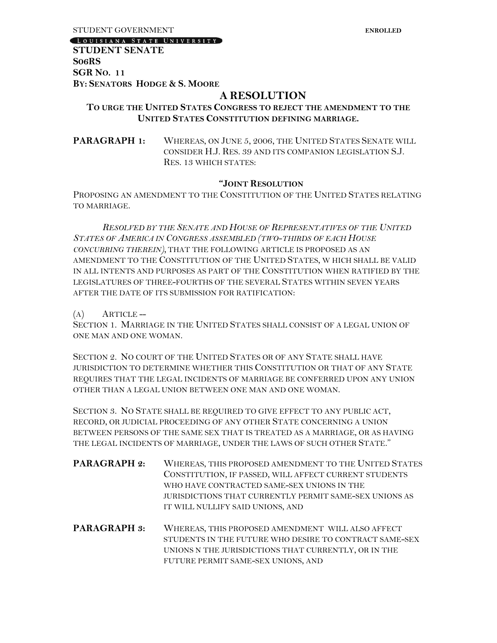[LOUISIANA STATE UNIVERSITY]

**STUDENT SENATE S06RS SGR NO. 11 BY: SENATORS HODGE & S. MOORE**

# **A RESOLUTION**

## **TO URGE THE UNITED STATES CONGRESS TO REJECT THE AMENDMENT TO THE UNITED STATES CONSTITUTION DEFINING MARRIAGE.**

PARAGRAPH 1: WHEREAS, ON JUNE 5, 2006, THE UNITED STATES SENATE WILL CONSIDER H.J. RES. 39 AND ITS COMPANION LEGISLATION S.J. RES. 13 WHICH STATES:

#### **"JOINT RESOLUTION**

PROPOSING AN AMENDMENT TO THE CONSTITUTION OF THE UNITED STATES RELATING TO MARRIAGE.

*RESOLVED BY THE SENATE AND HOUSE OF REPRESENTATIVES OF THE UNITED STATES OF AMERICA IN CONGRESS ASSEMBLED (TWO-THIRDS OF EACH HOUSE CONCURRING THEREIN),* THAT THE FOLLOWING ARTICLE IS PROPOSED AS AN AMENDMENT TO THE CONSTITUTION OF THE UNITED STATES, W HICH SHALL BE VALID IN ALL INTENTS AND PURPOSES AS PART OF THE CONSTITUTION WHEN RATIFIED BY THE LEGISLATURES OF THREE-FOURTHS OF THE SEVERAL STATES WITHIN SEVEN YEARS AFTER THE DATE OF ITS SUBMISSION FOR RATIFICATION:

 $(A)$  ARTICLE --

SECTION 1. MARRIAGE IN THE UNITED STATES SHALL CONSIST OF A LEGAL UNION OF ONE MAN AND ONE WOMAN.

SECTION 2. NO COURT OF THE UNITED STATES OR OF ANY STATE SHALL HAVE JURISDICTION TO DETERMINE WHETHER THIS CONSTITUTION OR THAT OF ANY STATE REQUIRES THAT THE LEGAL INCIDENTS OF MARRIAGE BE CONFERRED UPON ANY UNION OTHER THAN A LEGAL UNION BETWEEN ONE MAN AND ONE WOMAN.

SECTION 3. NO STATE SHALL BE REQUIRED TO GIVE EFFECT TO ANY PUBLIC ACT, RECORD, OR JUDICIAL PROCEEDING OF ANY OTHER STATE CONCERNING A UNION BETWEEN PERSONS OF THE SAME SEX THAT IS TREATED AS A MARRIAGE, OR AS HAVING THE LEGAL INCIDENTS OF MARRIAGE, UNDER THE LAWS OF SUCH OTHER STATE."

- PARAGRAPH 2: WHEREAS, THIS PROPOSED AMENDMENT TO THE UNITED STATES CONSTITUTION, IF PASSED, WILL AFFECT CURRENT STUDENTS WHO HAVE CONTRACTED SAME-SEX UNIONS IN THE JURISDICTIONS THAT CURRENTLY PERMIT SAME-SEX UNIONS AS IT WILL NULLIFY SAID UNIONS, AND
- **PARAGRAPH 3:** WHEREAS, THIS PROPOSED AMENDMENT WILL ALSO AFFECT STUDENTS IN THE FUTURE WHO DESIRE TO CONTRACT SAME-SEX UNIONS N THE JURISDICTIONS THAT CURRENTLY, OR IN THE FUTURE PERMIT SAME-SEX UNIONS, AND